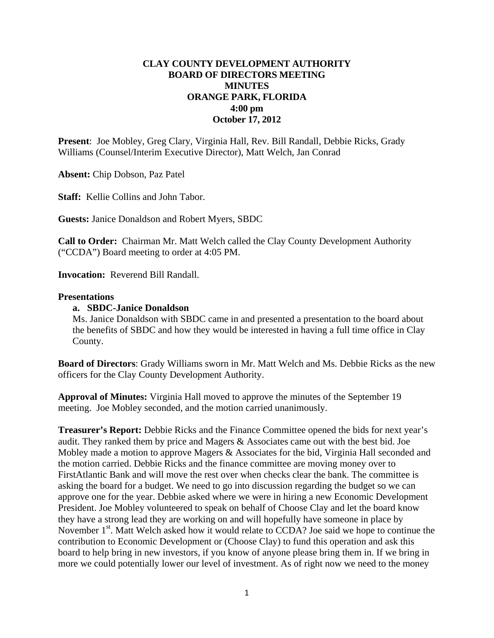## **CLAY COUNTY DEVELOPMENT AUTHORITY BOARD OF DIRECTORS MEETING MINUTES ORANGE PARK, FLORIDA 4:00 pm October 17, 2012**

**Present**: Joe Mobley, Greg Clary, Virginia Hall, Rev. Bill Randall, Debbie Ricks, Grady Williams (Counsel/Interim Executive Director), Matt Welch, Jan Conrad

**Absent:** Chip Dobson, Paz Patel

**Staff:** Kellie Collins and John Tabor.

**Guests:** Janice Donaldson and Robert Myers, SBDC

**Call to Order:** Chairman Mr. Matt Welch called the Clay County Development Authority ("CCDA") Board meeting to order at 4:05 PM.

**Invocation:** Reverend Bill Randall.

## **Presentations**

## **a. SBDC-Janice Donaldson**

Ms. Janice Donaldson with SBDC came in and presented a presentation to the board about the benefits of SBDC and how they would be interested in having a full time office in Clay County.

**Board of Directors**: Grady Williams sworn in Mr. Matt Welch and Ms. Debbie Ricks as the new officers for the Clay County Development Authority.

**Approval of Minutes:** Virginia Hall moved to approve the minutes of the September 19 meeting. Joe Mobley seconded, and the motion carried unanimously.

**Treasurer's Report:** Debbie Ricks and the Finance Committee opened the bids for next year's audit. They ranked them by price and Magers & Associates came out with the best bid. Joe Mobley made a motion to approve Magers & Associates for the bid, Virginia Hall seconded and the motion carried. Debbie Ricks and the finance committee are moving money over to FirstAtlantic Bank and will move the rest over when checks clear the bank. The committee is asking the board for a budget. We need to go into discussion regarding the budget so we can approve one for the year. Debbie asked where we were in hiring a new Economic Development President. Joe Mobley volunteered to speak on behalf of Choose Clay and let the board know they have a strong lead they are working on and will hopefully have someone in place by November  $1<sup>st</sup>$ . Matt Welch asked how it would relate to CCDA? Joe said we hope to continue the contribution to Economic Development or (Choose Clay) to fund this operation and ask this board to help bring in new investors, if you know of anyone please bring them in. If we bring in more we could potentially lower our level of investment. As of right now we need to the money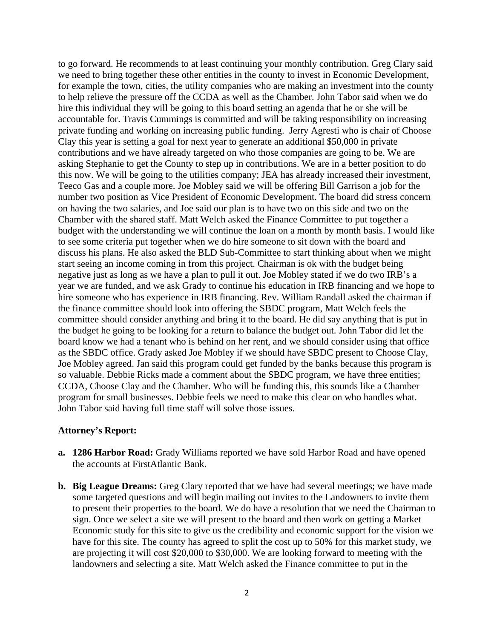to go forward. He recommends to at least continuing your monthly contribution. Greg Clary said we need to bring together these other entities in the county to invest in Economic Development, for example the town, cities, the utility companies who are making an investment into the county to help relieve the pressure off the CCDA as well as the Chamber. John Tabor said when we do hire this individual they will be going to this board setting an agenda that he or she will be accountable for. Travis Cummings is committed and will be taking responsibility on increasing private funding and working on increasing public funding. Jerry Agresti who is chair of Choose Clay this year is setting a goal for next year to generate an additional \$50,000 in private contributions and we have already targeted on who those companies are going to be. We are asking Stephanie to get the County to step up in contributions. We are in a better position to do this now. We will be going to the utilities company; JEA has already increased their investment, Teeco Gas and a couple more. Joe Mobley said we will be offering Bill Garrison a job for the number two position as Vice President of Economic Development. The board did stress concern on having the two salaries, and Joe said our plan is to have two on this side and two on the Chamber with the shared staff. Matt Welch asked the Finance Committee to put together a budget with the understanding we will continue the loan on a month by month basis. I would like to see some criteria put together when we do hire someone to sit down with the board and discuss his plans. He also asked the BLD Sub-Committee to start thinking about when we might start seeing an income coming in from this project. Chairman is ok with the budget being negative just as long as we have a plan to pull it out. Joe Mobley stated if we do two IRB's a year we are funded, and we ask Grady to continue his education in IRB financing and we hope to hire someone who has experience in IRB financing. Rev. William Randall asked the chairman if the finance committee should look into offering the SBDC program, Matt Welch feels the committee should consider anything and bring it to the board. He did say anything that is put in the budget he going to be looking for a return to balance the budget out. John Tabor did let the board know we had a tenant who is behind on her rent, and we should consider using that office as the SBDC office. Grady asked Joe Mobley if we should have SBDC present to Choose Clay, Joe Mobley agreed. Jan said this program could get funded by the banks because this program is so valuable. Debbie Ricks made a comment about the SBDC program, we have three entities; CCDA, Choose Clay and the Chamber. Who will be funding this, this sounds like a Chamber program for small businesses. Debbie feels we need to make this clear on who handles what. John Tabor said having full time staff will solve those issues.

## **Attorney's Report:**

- **a. 1286 Harbor Road:** Grady Williams reported we have sold Harbor Road and have opened the accounts at FirstAtlantic Bank.
- **b.** Big League Dreams: Greg Clary reported that we have had several meetings; we have made some targeted questions and will begin mailing out invites to the Landowners to invite them to present their properties to the board. We do have a resolution that we need the Chairman to sign. Once we select a site we will present to the board and then work on getting a Market Economic study for this site to give us the credibility and economic support for the vision we have for this site. The county has agreed to split the cost up to 50% for this market study, we are projecting it will cost \$20,000 to \$30,000. We are looking forward to meeting with the landowners and selecting a site. Matt Welch asked the Finance committee to put in the